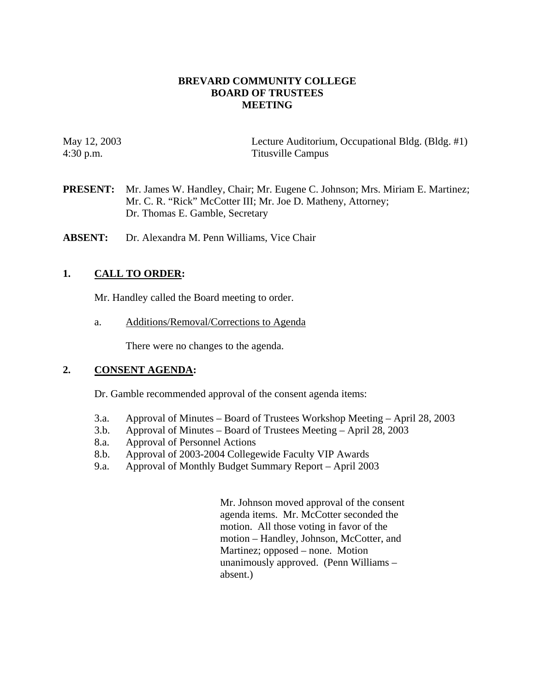#### **BREVARD COMMUNITY COLLEGE BOARD OF TRUSTEES MEETING**

May 12, 2003 Lecture Auditorium, Occupational Bldg. (Bldg. #1) 4:30 p.m. Titusville Campus

- **PRESENT:** Mr. James W. Handley, Chair; Mr. Eugene C. Johnson; Mrs. Miriam E. Martinez; Mr. C. R. "Rick" McCotter III; Mr. Joe D. Matheny, Attorney; Dr. Thomas E. Gamble, Secretary
- **ABSENT:** Dr. Alexandra M. Penn Williams, Vice Chair

## **1. CALL TO ORDER:**

Mr. Handley called the Board meeting to order.

a. Additions/Removal/Corrections to Agenda

There were no changes to the agenda.

#### **2. CONSENT AGENDA:**

Dr. Gamble recommended approval of the consent agenda items:

- 3.a. Approval of Minutes Board of Trustees Workshop Meeting April 28, 2003
- 3.b. Approval of Minutes Board of Trustees Meeting April 28, 2003
- 8.a. Approval of Personnel Actions
- 8.b. Approval of 2003-2004 Collegewide Faculty VIP Awards
- 9.a. Approval of Monthly Budget Summary Report April 2003

Mr. Johnson moved approval of the consent agenda items. Mr. McCotter seconded the motion. All those voting in favor of the motion – Handley, Johnson, McCotter, and Martinez; opposed – none. Motion unanimously approved. (Penn Williams – absent.)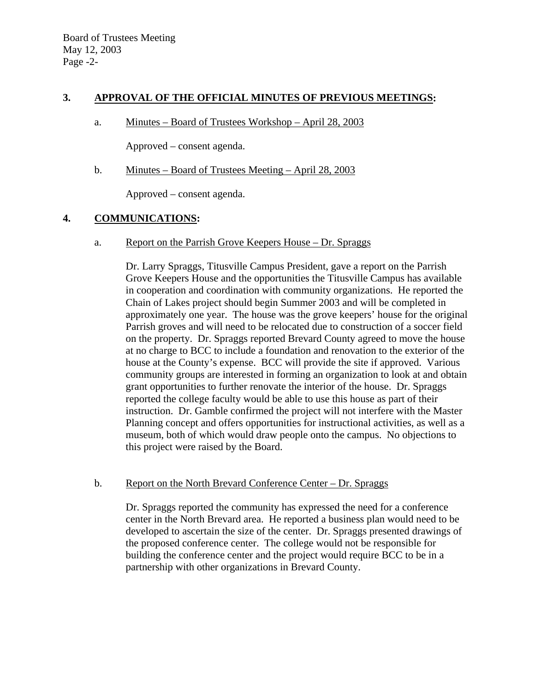#### **3. APPROVAL OF THE OFFICIAL MINUTES OF PREVIOUS MEETINGS:**

a. Minutes – Board of Trustees Workshop – April 28, 2003

Approved – consent agenda.

b. Minutes – Board of Trustees Meeting – April 28, 2003

Approved – consent agenda.

#### **4. COMMUNICATIONS:**

a. Report on the Parrish Grove Keepers House – Dr. Spraggs

Dr. Larry Spraggs, Titusville Campus President, gave a report on the Parrish Grove Keepers House and the opportunities the Titusville Campus has available in cooperation and coordination with community organizations. He reported the Chain of Lakes project should begin Summer 2003 and will be completed in approximately one year. The house was the grove keepers' house for the original Parrish groves and will need to be relocated due to construction of a soccer field on the property. Dr. Spraggs reported Brevard County agreed to move the house at no charge to BCC to include a foundation and renovation to the exterior of the house at the County's expense. BCC will provide the site if approved. Various community groups are interested in forming an organization to look at and obtain grant opportunities to further renovate the interior of the house. Dr. Spraggs reported the college faculty would be able to use this house as part of their instruction. Dr. Gamble confirmed the project will not interfere with the Master Planning concept and offers opportunities for instructional activities, as well as a museum, both of which would draw people onto the campus. No objections to this project were raised by the Board.

#### b. Report on the North Brevard Conference Center – Dr. Spraggs

Dr. Spraggs reported the community has expressed the need for a conference center in the North Brevard area. He reported a business plan would need to be developed to ascertain the size of the center. Dr. Spraggs presented drawings of the proposed conference center. The college would not be responsible for building the conference center and the project would require BCC to be in a partnership with other organizations in Brevard County.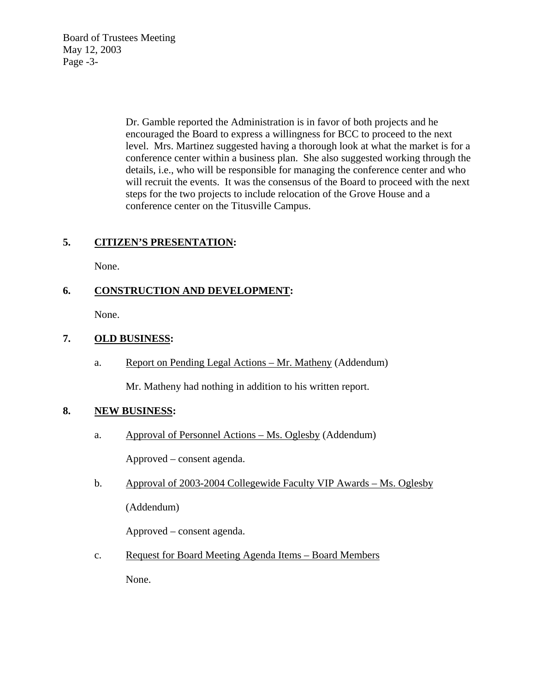Board of Trustees Meeting May 12, 2003 Page -3-

> Dr. Gamble reported the Administration is in favor of both projects and he encouraged the Board to express a willingness for BCC to proceed to the next level. Mrs. Martinez suggested having a thorough look at what the market is for a conference center within a business plan. She also suggested working through the details, i.e., who will be responsible for managing the conference center and who will recruit the events. It was the consensus of the Board to proceed with the next steps for the two projects to include relocation of the Grove House and a conference center on the Titusville Campus.

## **5. CITIZEN'S PRESENTATION:**

None.

## **6. CONSTRUCTION AND DEVELOPMENT:**

None.

## **7. OLD BUSINESS:**

a. Report on Pending Legal Actions – Mr. Matheny (Addendum)

Mr. Matheny had nothing in addition to his written report.

## **8. NEW BUSINESS:**

- a. Approval of Personnel Actions Ms. Oglesby (Addendum) Approved – consent agenda.
- b. Approval of 2003-2004 Collegewide Faculty VIP Awards Ms. Oglesby (Addendum)

Approved – consent agenda.

c. Request for Board Meeting Agenda Items – Board Members None.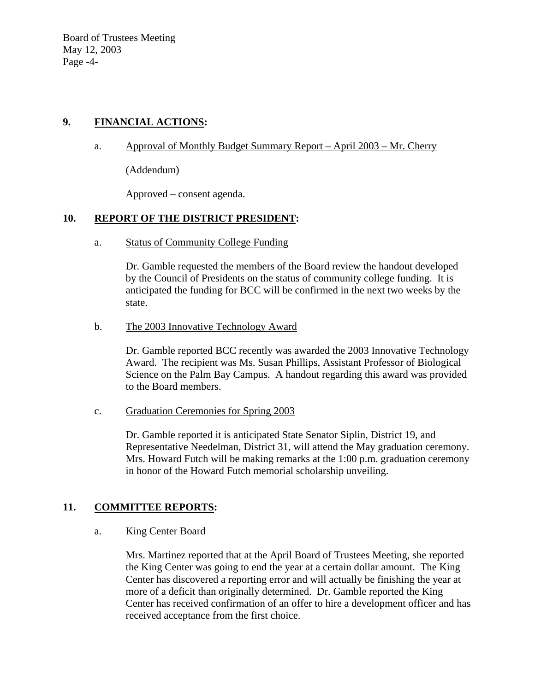Board of Trustees Meeting May 12, 2003 Page -4-

## **9. FINANCIAL ACTIONS:**

### a. Approval of Monthly Budget Summary Report – April 2003 – Mr. Cherry

(Addendum)

Approved – consent agenda.

## **10. REPORT OF THE DISTRICT PRESIDENT:**

a. Status of Community College Funding

Dr. Gamble requested the members of the Board review the handout developed by the Council of Presidents on the status of community college funding. It is anticipated the funding for BCC will be confirmed in the next two weeks by the state.

#### b. The 2003 Innovative Technology Award

Dr. Gamble reported BCC recently was awarded the 2003 Innovative Technology Award. The recipient was Ms. Susan Phillips, Assistant Professor of Biological Science on the Palm Bay Campus. A handout regarding this award was provided to the Board members.

c. Graduation Ceremonies for Spring 2003

Dr. Gamble reported it is anticipated State Senator Siplin, District 19, and Representative Needelman, District 31, will attend the May graduation ceremony. Mrs. Howard Futch will be making remarks at the 1:00 p.m. graduation ceremony in honor of the Howard Futch memorial scholarship unveiling.

# **11. COMMITTEE REPORTS:**

#### a. King Center Board

Mrs. Martinez reported that at the April Board of Trustees Meeting, she reported the King Center was going to end the year at a certain dollar amount. The King Center has discovered a reporting error and will actually be finishing the year at more of a deficit than originally determined. Dr. Gamble reported the King Center has received confirmation of an offer to hire a development officer and has received acceptance from the first choice.